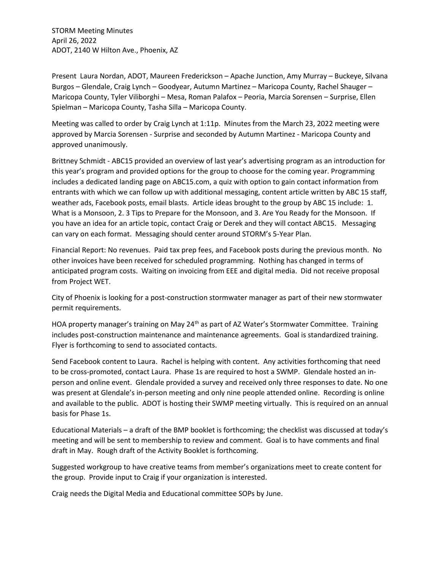STORM Meeting Minutes April 26, 2022 ADOT, 2140 W Hilton Ave., Phoenix, AZ

Present Laura Nordan, ADOT, Maureen Frederickson – Apache Junction, Amy Murray – Buckeye, Silvana Burgos – Glendale, Craig Lynch – Goodyear, Autumn Martinez – Maricopa County, Rachel Shauger – Maricopa County, Tyler Viliborghi – Mesa, Roman Palafox – Peoria, Marcia Sorensen – Surprise, Ellen Spielman – Maricopa County, Tasha Silla – Maricopa County.

Meeting was called to order by Craig Lynch at 1:11p. Minutes from the March 23, 2022 meeting were approved by Marcia Sorensen - Surprise and seconded by Autumn Martinez - Maricopa County and approved unanimously.

Brittney Schmidt - ABC15 provided an overview of last year's advertising program as an introduction for this year's program and provided options for the group to choose for the coming year. Programming includes a dedicated landing page on ABC15.com, a quiz with option to gain contact information from entrants with which we can follow up with additional messaging, content article written by ABC 15 staff, weather ads, Facebook posts, email blasts. Article ideas brought to the group by ABC 15 include: 1. What is a Monsoon, 2. 3 Tips to Prepare for the Monsoon, and 3. Are You Ready for the Monsoon. If you have an idea for an article topic, contact Craig or Derek and they will contact ABC15. Messaging can vary on each format. Messaging should center around STORM's 5-Year Plan.

Financial Report: No revenues. Paid tax prep fees, and Facebook posts during the previous month. No other invoices have been received for scheduled programming. Nothing has changed in terms of anticipated program costs. Waiting on invoicing from EEE and digital media. Did not receive proposal from Project WET.

City of Phoenix is looking for a post-construction stormwater manager as part of their new stormwater permit requirements.

HOA property manager's training on May 24<sup>th</sup> as part of AZ Water's Stormwater Committee. Training includes post-construction maintenance and maintenance agreements. Goal is standardized training. Flyer is forthcoming to send to associated contacts.

Send Facebook content to Laura. Rachel is helping with content. Any activities forthcoming that need to be cross-promoted, contact Laura. Phase 1s are required to host a SWMP. Glendale hosted an inperson and online event. Glendale provided a survey and received only three responses to date. No one was present at Glendale's in-person meeting and only nine people attended online. Recording is online and available to the public. ADOT is hosting their SWMP meeting virtually. This is required on an annual basis for Phase 1s.

Educational Materials – a draft of the BMP booklet is forthcoming; the checklist was discussed at today's meeting and will be sent to membership to review and comment. Goal is to have comments and final draft in May. Rough draft of the Activity Booklet is forthcoming.

Suggested workgroup to have creative teams from member's organizations meet to create content for the group. Provide input to Craig if your organization is interested.

Craig needs the Digital Media and Educational committee SOPs by June.